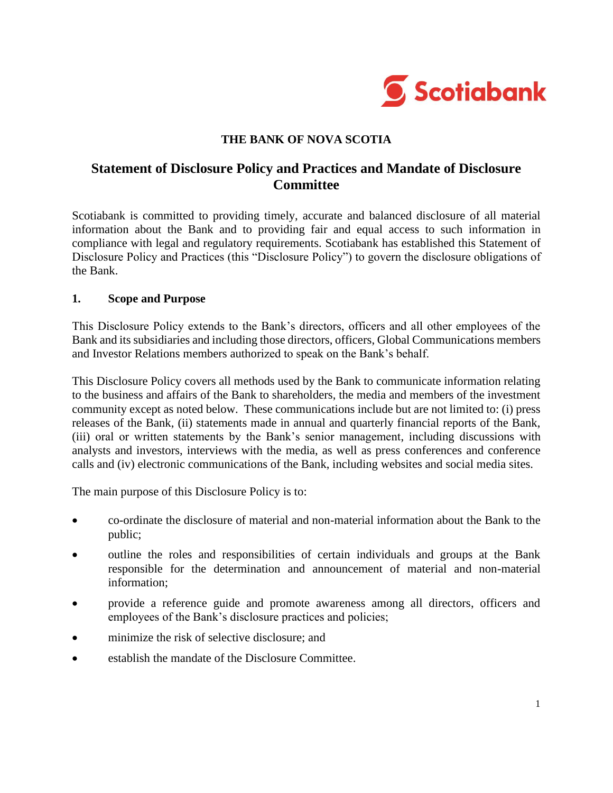

### **THE BANK OF NOVA SCOTIA**

# **Statement of Disclosure Policy and Practices and Mandate of Disclosure Committee**

Scotiabank is committed to providing timely, accurate and balanced disclosure of all material information about the Bank and to providing fair and equal access to such information in compliance with legal and regulatory requirements. Scotiabank has established this Statement of Disclosure Policy and Practices (this "Disclosure Policy") to govern the disclosure obligations of the Bank.

#### **1. Scope and Purpose**

This Disclosure Policy extends to the Bank's directors, officers and all other employees of the Bank and its subsidiaries and including those directors, officers, Global Communications members and Investor Relations members authorized to speak on the Bank's behalf.

This Disclosure Policy covers all methods used by the Bank to communicate information relating to the business and affairs of the Bank to shareholders, the media and members of the investment community except as noted below. These communications include but are not limited to: (i) press releases of the Bank, (ii) statements made in annual and quarterly financial reports of the Bank, (iii) oral or written statements by the Bank's senior management, including discussions with analysts and investors, interviews with the media, as well as press conferences and conference calls and (iv) electronic communications of the Bank, including websites and social media sites.

The main purpose of this Disclosure Policy is to:

- co-ordinate the disclosure of material and non-material information about the Bank to the public;
- outline the roles and responsibilities of certain individuals and groups at the Bank responsible for the determination and announcement of material and non-material information;
- provide a reference guide and promote awareness among all directors, officers and employees of the Bank's disclosure practices and policies;
- minimize the risk of selective disclosure; and
- establish the mandate of the Disclosure Committee.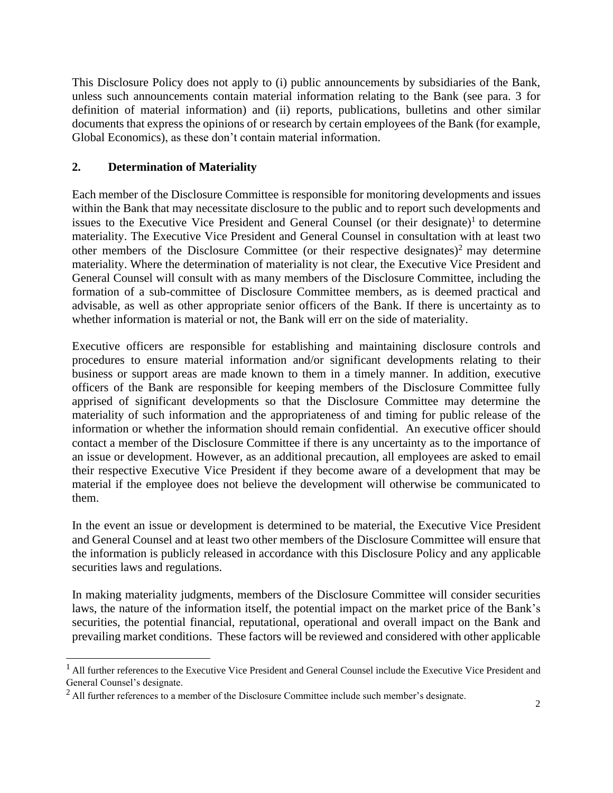This Disclosure Policy does not apply to (i) public announcements by subsidiaries of the Bank, unless such announcements contain material information relating to the Bank (see para. 3 for definition of material information) and (ii) reports, publications, bulletins and other similar documents that express the opinions of or research by certain employees of the Bank (for example, Global Economics), as these don't contain material information.

## **2. Determination of Materiality**

Each member of the Disclosure Committee is responsible for monitoring developments and issues within the Bank that may necessitate disclosure to the public and to report such developments and issues to the Executive Vice President and General Counsel (or their designate)<sup>1</sup> to determine materiality. The Executive Vice President and General Counsel in consultation with at least two other members of the Disclosure Committee (or their respective designates)<sup>2</sup> may determine materiality. Where the determination of materiality is not clear, the Executive Vice President and General Counsel will consult with as many members of the Disclosure Committee, including the formation of a sub-committee of Disclosure Committee members, as is deemed practical and advisable, as well as other appropriate senior officers of the Bank. If there is uncertainty as to whether information is material or not, the Bank will err on the side of materiality.

Executive officers are responsible for establishing and maintaining disclosure controls and procedures to ensure material information and/or significant developments relating to their business or support areas are made known to them in a timely manner. In addition, executive officers of the Bank are responsible for keeping members of the Disclosure Committee fully apprised of significant developments so that the Disclosure Committee may determine the materiality of such information and the appropriateness of and timing for public release of the information or whether the information should remain confidential. An executive officer should contact a member of the Disclosure Committee if there is any uncertainty as to the importance of an issue or development. However, as an additional precaution, all employees are asked to email their respective Executive Vice President if they become aware of a development that may be material if the employee does not believe the development will otherwise be communicated to them.

In the event an issue or development is determined to be material, the Executive Vice President and General Counsel and at least two other members of the Disclosure Committee will ensure that the information is publicly released in accordance with this Disclosure Policy and any applicable securities laws and regulations.

In making materiality judgments, members of the Disclosure Committee will consider securities laws, the nature of the information itself, the potential impact on the market price of the Bank's securities, the potential financial, reputational, operational and overall impact on the Bank and prevailing market conditions. These factors will be reviewed and considered with other applicable

<sup>1</sup> All further references to the Executive Vice President and General Counsel include the Executive Vice President and General Counsel's designate.

 $^{2}$  All further references to a member of the Disclosure Committee include such member's designate.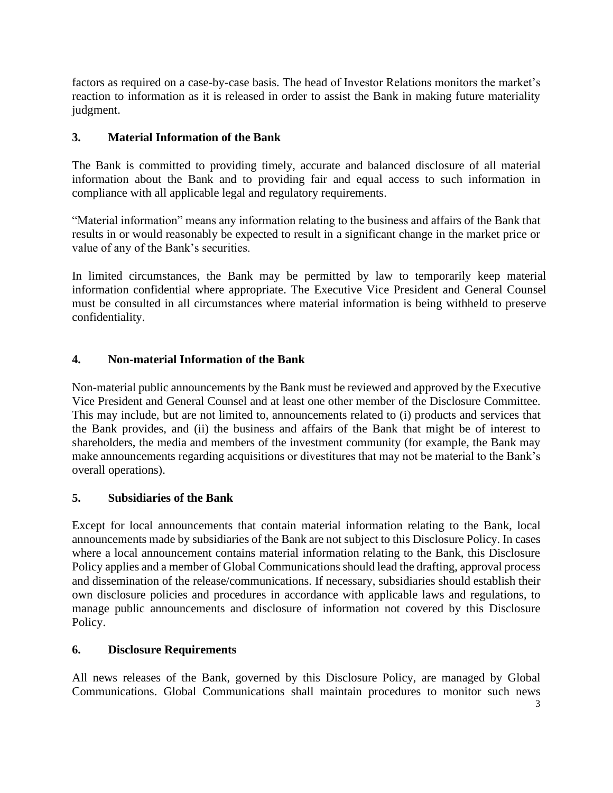factors as required on a case-by-case basis. The head of Investor Relations monitors the market's reaction to information as it is released in order to assist the Bank in making future materiality judgment.

## **3. Material Information of the Bank**

The Bank is committed to providing timely, accurate and balanced disclosure of all material information about the Bank and to providing fair and equal access to such information in compliance with all applicable legal and regulatory requirements.

"Material information" means any information relating to the business and affairs of the Bank that results in or would reasonably be expected to result in a significant change in the market price or value of any of the Bank's securities.

In limited circumstances, the Bank may be permitted by law to temporarily keep material information confidential where appropriate. The Executive Vice President and General Counsel must be consulted in all circumstances where material information is being withheld to preserve confidentiality.

## **4. Non-material Information of the Bank**

Non-material public announcements by the Bank must be reviewed and approved by the Executive Vice President and General Counsel and at least one other member of the Disclosure Committee. This may include, but are not limited to, announcements related to (i) products and services that the Bank provides, and (ii) the business and affairs of the Bank that might be of interest to shareholders, the media and members of the investment community (for example, the Bank may make announcements regarding acquisitions or divestitures that may not be material to the Bank's overall operations).

### **5. Subsidiaries of the Bank**

Except for local announcements that contain material information relating to the Bank, local announcements made by subsidiaries of the Bank are not subject to this Disclosure Policy. In cases where a local announcement contains material information relating to the Bank, this Disclosure Policy applies and a member of Global Communications should lead the drafting, approval process and dissemination of the release/communications. If necessary, subsidiaries should establish their own disclosure policies and procedures in accordance with applicable laws and regulations, to manage public announcements and disclosure of information not covered by this Disclosure Policy.

### **6. Disclosure Requirements**

All news releases of the Bank, governed by this Disclosure Policy, are managed by Global Communications. Global Communications shall maintain procedures to monitor such news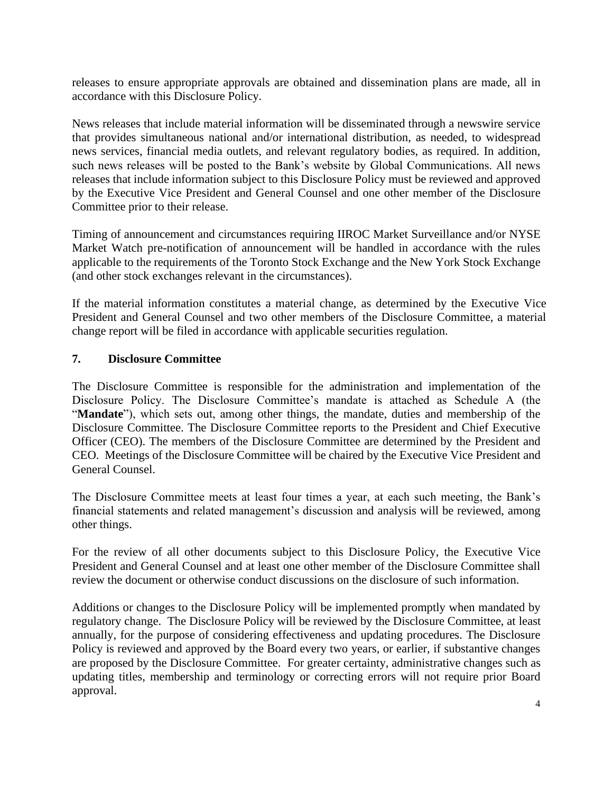releases to ensure appropriate approvals are obtained and dissemination plans are made, all in accordance with this Disclosure Policy.

News releases that include material information will be disseminated through a newswire service that provides simultaneous national and/or international distribution, as needed, to widespread news services, financial media outlets, and relevant regulatory bodies, as required. In addition, such news releases will be posted to the Bank's website by Global Communications. All news releases that include information subject to this Disclosure Policy must be reviewed and approved by the Executive Vice President and General Counsel and one other member of the Disclosure Committee prior to their release.

Timing of announcement and circumstances requiring IIROC Market Surveillance and/or NYSE Market Watch pre-notification of announcement will be handled in accordance with the rules applicable to the requirements of the Toronto Stock Exchange and the New York Stock Exchange (and other stock exchanges relevant in the circumstances).

If the material information constitutes a material change, as determined by the Executive Vice President and General Counsel and two other members of the Disclosure Committee, a material change report will be filed in accordance with applicable securities regulation.

## **7. Disclosure Committee**

The Disclosure Committee is responsible for the administration and implementation of the Disclosure Policy. The Disclosure Committee's mandate is attached as Schedule A (the "**Mandate**"), which sets out, among other things, the mandate, duties and membership of the Disclosure Committee. The Disclosure Committee reports to the President and Chief Executive Officer (CEO). The members of the Disclosure Committee are determined by the President and CEO. Meetings of the Disclosure Committee will be chaired by the Executive Vice President and General Counsel.

The Disclosure Committee meets at least four times a year, at each such meeting, the Bank's financial statements and related management's discussion and analysis will be reviewed, among other things.

For the review of all other documents subject to this Disclosure Policy, the Executive Vice President and General Counsel and at least one other member of the Disclosure Committee shall review the document or otherwise conduct discussions on the disclosure of such information.

Additions or changes to the Disclosure Policy will be implemented promptly when mandated by regulatory change. The Disclosure Policy will be reviewed by the Disclosure Committee, at least annually, for the purpose of considering effectiveness and updating procedures. The Disclosure Policy is reviewed and approved by the Board every two years, or earlier, if substantive changes are proposed by the Disclosure Committee. For greater certainty, administrative changes such as updating titles, membership and terminology or correcting errors will not require prior Board approval.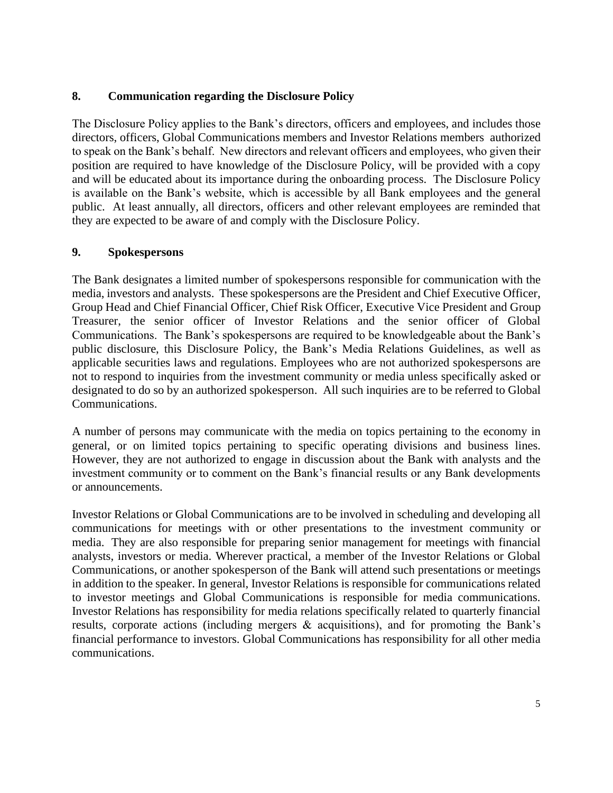## **8. Communication regarding the Disclosure Policy**

The Disclosure Policy applies to the Bank's directors, officers and employees, and includes those directors, officers, Global Communications members and Investor Relations members authorized to speak on the Bank's behalf. New directors and relevant officers and employees, who given their position are required to have knowledge of the Disclosure Policy, will be provided with a copy and will be educated about its importance during the onboarding process. The Disclosure Policy is available on the Bank's website, which is accessible by all Bank employees and the general public. At least annually, all directors, officers and other relevant employees are reminded that they are expected to be aware of and comply with the Disclosure Policy.

### **9. Spokespersons**

The Bank designates a limited number of spokespersons responsible for communication with the media, investors and analysts. These spokespersons are the President and Chief Executive Officer, Group Head and Chief Financial Officer, Chief Risk Officer, Executive Vice President and Group Treasurer, the senior officer of Investor Relations and the senior officer of Global Communications. The Bank's spokespersons are required to be knowledgeable about the Bank's public disclosure, this Disclosure Policy, the Bank's Media Relations Guidelines, as well as applicable securities laws and regulations. Employees who are not authorized spokespersons are not to respond to inquiries from the investment community or media unless specifically asked or designated to do so by an authorized spokesperson. All such inquiries are to be referred to Global Communications.

A number of persons may communicate with the media on topics pertaining to the economy in general, or on limited topics pertaining to specific operating divisions and business lines. However, they are not authorized to engage in discussion about the Bank with analysts and the investment community or to comment on the Bank's financial results or any Bank developments or announcements.

Investor Relations or Global Communications are to be involved in scheduling and developing all communications for meetings with or other presentations to the investment community or media. They are also responsible for preparing senior management for meetings with financial analysts, investors or media. Wherever practical, a member of the Investor Relations or Global Communications, or another spokesperson of the Bank will attend such presentations or meetings in addition to the speaker. In general, Investor Relations is responsible for communications related to investor meetings and Global Communications is responsible for media communications. Investor Relations has responsibility for media relations specifically related to quarterly financial results, corporate actions (including mergers & acquisitions), and for promoting the Bank's financial performance to investors. Global Communications has responsibility for all other media communications.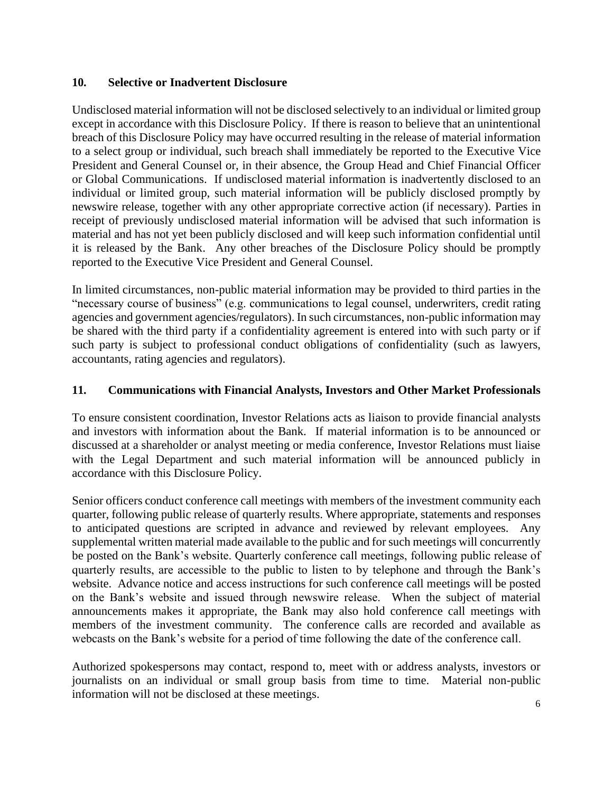## **10. Selective or Inadvertent Disclosure**

Undisclosed material information will not be disclosed selectively to an individual or limited group except in accordance with this Disclosure Policy. If there is reason to believe that an unintentional breach of this Disclosure Policy may have occurred resulting in the release of material information to a select group or individual, such breach shall immediately be reported to the Executive Vice President and General Counsel or, in their absence, the Group Head and Chief Financial Officer or Global Communications. If undisclosed material information is inadvertently disclosed to an individual or limited group, such material information will be publicly disclosed promptly by newswire release, together with any other appropriate corrective action (if necessary). Parties in receipt of previously undisclosed material information will be advised that such information is material and has not yet been publicly disclosed and will keep such information confidential until it is released by the Bank. Any other breaches of the Disclosure Policy should be promptly reported to the Executive Vice President and General Counsel.

In limited circumstances, non-public material information may be provided to third parties in the "necessary course of business" (e.g. communications to legal counsel, underwriters, credit rating agencies and government agencies/regulators). In such circumstances, non-public information may be shared with the third party if a confidentiality agreement is entered into with such party or if such party is subject to professional conduct obligations of confidentiality (such as lawyers, accountants, rating agencies and regulators).

## **11. Communications with Financial Analysts, Investors and Other Market Professionals**

To ensure consistent coordination, Investor Relations acts as liaison to provide financial analysts and investors with information about the Bank. If material information is to be announced or discussed at a shareholder or analyst meeting or media conference, Investor Relations must liaise with the Legal Department and such material information will be announced publicly in accordance with this Disclosure Policy.

Senior officers conduct conference call meetings with members of the investment community each quarter, following public release of quarterly results. Where appropriate, statements and responses to anticipated questions are scripted in advance and reviewed by relevant employees. Any supplemental written material made available to the public and for such meetings will concurrently be posted on the Bank's website. Quarterly conference call meetings, following public release of quarterly results, are accessible to the public to listen to by telephone and through the Bank's website. Advance notice and access instructions for such conference call meetings will be posted on the Bank's website and issued through newswire release. When the subject of material announcements makes it appropriate, the Bank may also hold conference call meetings with members of the investment community. The conference calls are recorded and available as webcasts on the Bank's website for a period of time following the date of the conference call.

Authorized spokespersons may contact, respond to, meet with or address analysts, investors or journalists on an individual or small group basis from time to time. Material non-public information will not be disclosed at these meetings.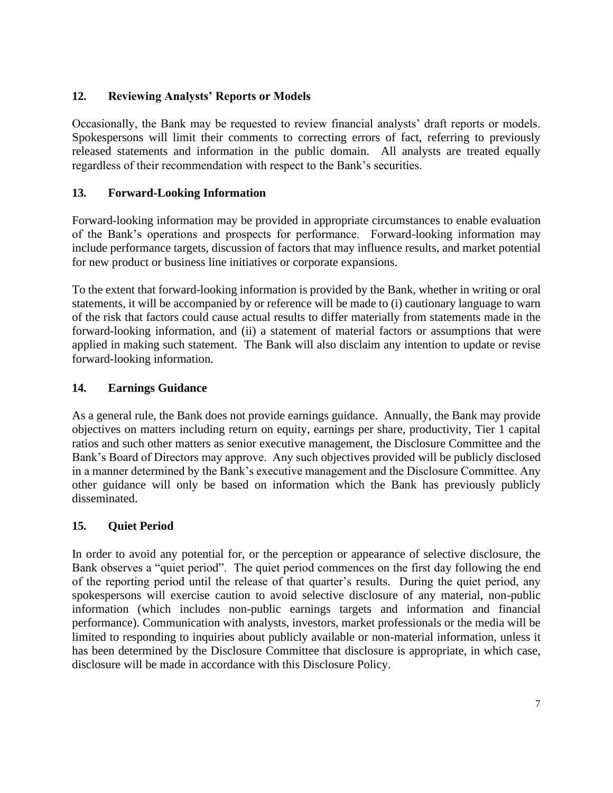# **12. Reviewing Analysts' Reports or Models**

Occasionally, the Bank may be requested to review financial analysts' draft reports or models. Spokespersons will limit their comments to correcting errors of fact, referring to previously released statements and information in the public domain. All analysts are treated equally regardless of their recommendation with respect to the Bank's securities.

# **13. Forward-Looking Information**

Forward-looking information may be provided in appropriate circumstances to enable evaluation of the Bank's operations and prospects for performance. Forward-looking information may include performance targets, discussion of factors that may influence results, and market potential for new product or business line initiatives or corporate expansions.

To the extent that forward-looking information is provided by the Bank, whether in writing or oral statements, it will be accompanied by or reference will be made to (i) cautionary language to warn of the risk that factors could cause actual results to differ materially from statements made in the forward-looking information, and (ii) a statement of material factors or assumptions that were applied in making such statement. The Bank will also disclaim any intention to update or revise forward-looking information.

# **14. Earnings Guidance**

As a general rule, the Bank does not provide earnings guidance. Annually, the Bank may provide objectives on matters including return on equity, earnings per share, productivity, Tier 1 capital ratios and such other matters as senior executive management, the Disclosure Committee and the Bank's Board of Directors may approve. Any such objectives provided will be publicly disclosed in a manner determined by the Bank's executive management and the Disclosure Committee. Any other guidance will only be based on information which the Bank has previously publicly disseminated.

# **15. Quiet Period**

In order to avoid any potential for, or the perception or appearance of selective disclosure, the Bank observes a "quiet period". The quiet period commences on the first day following the end of the reporting period until the release of that quarter's results. During the quiet period, any spokespersons will exercise caution to avoid selective disclosure of any material, non-public information (which includes non-public earnings targets and information and financial performance). Communication with analysts, investors, market professionals or the media will be limited to responding to inquiries about publicly available or non-material information, unless it has been determined by the Disclosure Committee that disclosure is appropriate, in which case, disclosure will be made in accordance with this Disclosure Policy.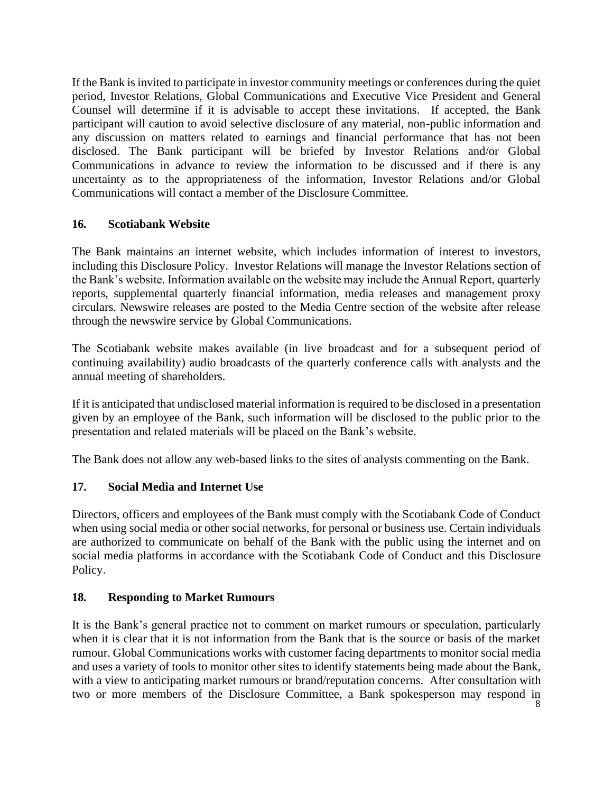If the Bank is invited to participate in investor community meetings or conferences during the quiet period, Investor Relations, Global Communications and Executive Vice President and General Counsel will determine if it is advisable to accept these invitations. If accepted, the Bank participant will caution to avoid selective disclosure of any material, non-public information and any discussion on matters related to earnings and financial performance that has not been disclosed. The Bank participant will be briefed by Investor Relations and/or Global Communications in advance to review the information to be discussed and if there is any uncertainty as to the appropriateness of the information, Investor Relations and/or Global Communications will contact a member of the Disclosure Committee.

## **16. Scotiabank Website**

The Bank maintains an internet website, which includes information of interest to investors, including this Disclosure Policy. Investor Relations will manage the Investor Relations section of the Bank's website. Information available on the website may include the Annual Report, quarterly reports, supplemental quarterly financial information, media releases and management proxy circulars. Newswire releases are posted to the Media Centre section of the website after release through the newswire service by Global Communications.

The Scotiabank website makes available (in live broadcast and for a subsequent period of continuing availability) audio broadcasts of the quarterly conference calls with analysts and the annual meeting of shareholders.

If it is anticipated that undisclosed material information is required to be disclosed in a presentation given by an employee of the Bank, such information will be disclosed to the public prior to the presentation and related materials will be placed on the Bank's website.

The Bank does not allow any web-based links to the sites of analysts commenting on the Bank.

# **17. Social Media and Internet Use**

Directors, officers and employees of the Bank must comply with the Scotiabank Code of Conduct when using social media or other social networks, for personal or business use. Certain individuals are authorized to communicate on behalf of the Bank with the public using the internet and on social media platforms in accordance with the Scotiabank Code of Conduct and this Disclosure Policy.

### **18. Responding to Market Rumours**

It is the Bank's general practice not to comment on market rumours or speculation, particularly when it is clear that it is not information from the Bank that is the source or basis of the market rumour. Global Communications works with customer facing departments to monitor social media and uses a variety of tools to monitor other sites to identify statements being made about the Bank, with a view to anticipating market rumours or brand/reputation concerns. After consultation with two or more members of the Disclosure Committee, a Bank spokesperson may respond in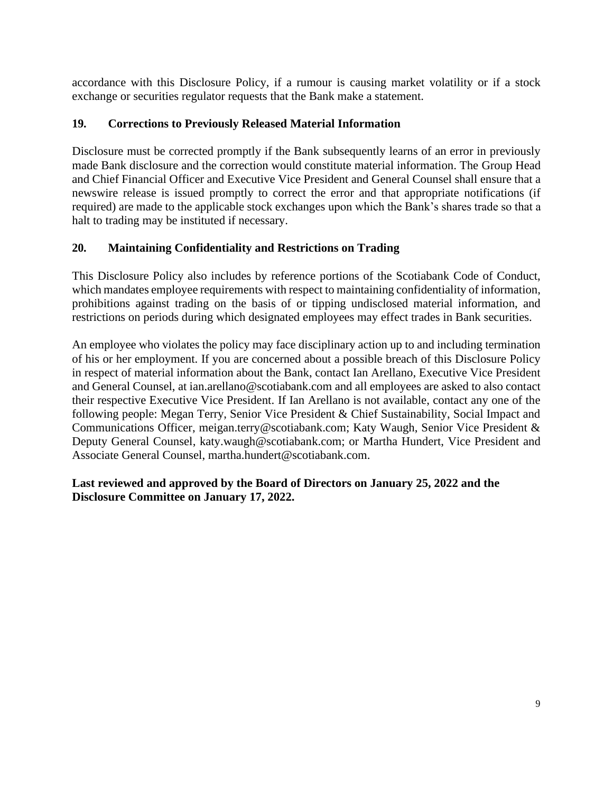accordance with this Disclosure Policy, if a rumour is causing market volatility or if a stock exchange or securities regulator requests that the Bank make a statement.

## **19. Corrections to Previously Released Material Information**

Disclosure must be corrected promptly if the Bank subsequently learns of an error in previously made Bank disclosure and the correction would constitute material information. The Group Head and Chief Financial Officer and Executive Vice President and General Counsel shall ensure that a newswire release is issued promptly to correct the error and that appropriate notifications (if required) are made to the applicable stock exchanges upon which the Bank's shares trade so that a halt to trading may be instituted if necessary.

## **20. Maintaining Confidentiality and Restrictions on Trading**

This Disclosure Policy also includes by reference portions of the Scotiabank Code of Conduct, which mandates employee requirements with respect to maintaining confidentiality of information, prohibitions against trading on the basis of or tipping undisclosed material information, and restrictions on periods during which designated employees may effect trades in Bank securities.

An employee who violates the policy may face disciplinary action up to and including termination of his or her employment. If you are concerned about a possible breach of this Disclosure Policy in respect of material information about the Bank, contact Ian Arellano, Executive Vice President and General Counsel, at ian.arellano@scotiabank.com and all employees are asked to also contact their respective Executive Vice President. If Ian Arellano is not available, contact any one of the following people: Megan Terry, Senior Vice President & Chief Sustainability, Social Impact and Communications Officer, [meigan.terry@scotiabank.com;](mailto:meigan.terry@scotiabank.com) Katy Waugh, Senior Vice President & Deputy General Counsel, [katy.waugh@scotiabank.com;](mailto:katy.waugh@scotiabank.com) or Martha Hundert, Vice President and Associate General Counsel, martha.hundert@scotiabank.com.

## **Last reviewed and approved by the Board of Directors on January 25, 2022 and the Disclosure Committee on January 17, 2022.**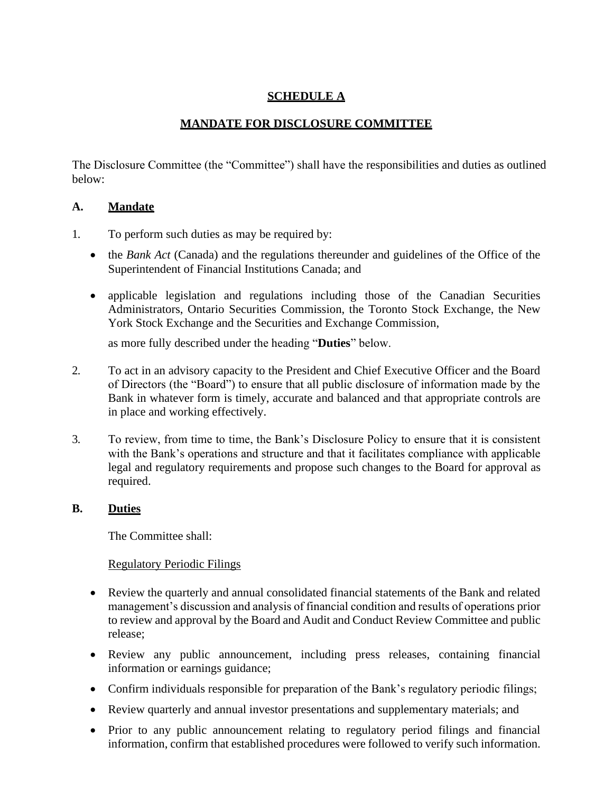# **SCHEDULE A**

# **MANDATE FOR DISCLOSURE COMMITTEE**

The Disclosure Committee (the "Committee") shall have the responsibilities and duties as outlined below:

# **A. Mandate**

- 1. To perform such duties as may be required by:
	- the *Bank Act* (Canada) and the regulations thereunder and guidelines of the Office of the Superintendent of Financial Institutions Canada; and
	- applicable legislation and regulations including those of the Canadian Securities Administrators, Ontario Securities Commission, the Toronto Stock Exchange, the New York Stock Exchange and the Securities and Exchange Commission,

as more fully described under the heading "**Duties**" below.

- 2. To act in an advisory capacity to the President and Chief Executive Officer and the Board of Directors (the "Board") to ensure that all public disclosure of information made by the Bank in whatever form is timely, accurate and balanced and that appropriate controls are in place and working effectively.
- 3. To review, from time to time, the Bank's Disclosure Policy to ensure that it is consistent with the Bank's operations and structure and that it facilitates compliance with applicable legal and regulatory requirements and propose such changes to the Board for approval as required.

# **B. Duties**

The Committee shall:

# Regulatory Periodic Filings

- Review the quarterly and annual consolidated financial statements of the Bank and related management's discussion and analysis of financial condition and results of operations prior to review and approval by the Board and Audit and Conduct Review Committee and public release;
- Review any public announcement, including press releases, containing financial information or earnings guidance;
- Confirm individuals responsible for preparation of the Bank's regulatory periodic filings;
- Review quarterly and annual investor presentations and supplementary materials; and
- Prior to any public announcement relating to regulatory period filings and financial information, confirm that established procedures were followed to verify such information.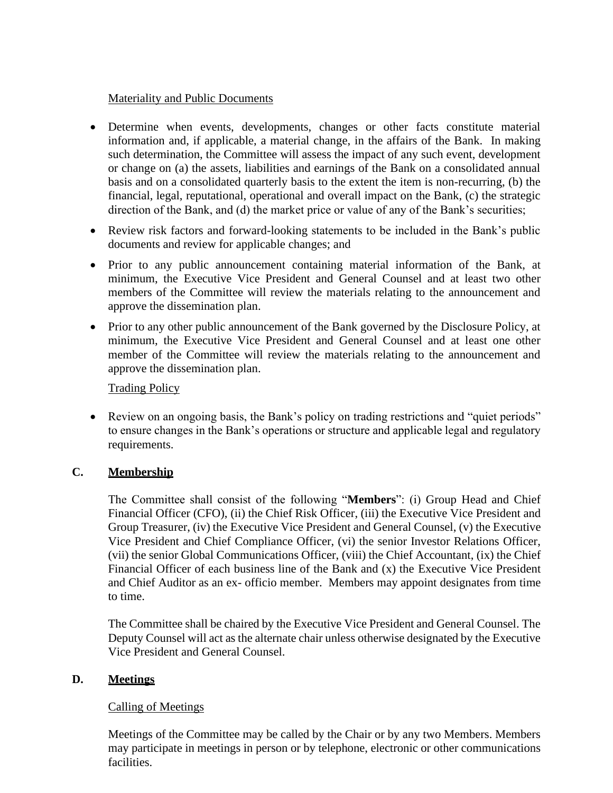### Materiality and Public Documents

- Determine when events, developments, changes or other facts constitute material information and, if applicable, a material change, in the affairs of the Bank. In making such determination, the Committee will assess the impact of any such event, development or change on (a) the assets, liabilities and earnings of the Bank on a consolidated annual basis and on a consolidated quarterly basis to the extent the item is non-recurring, (b) the financial, legal, reputational, operational and overall impact on the Bank, (c) the strategic direction of the Bank, and (d) the market price or value of any of the Bank's securities;
- Review risk factors and forward-looking statements to be included in the Bank's public documents and review for applicable changes; and
- Prior to any public announcement containing material information of the Bank, at minimum, the Executive Vice President and General Counsel and at least two other members of the Committee will review the materials relating to the announcement and approve the dissemination plan.
- Prior to any other public announcement of the Bank governed by the Disclosure Policy, at minimum, the Executive Vice President and General Counsel and at least one other member of the Committee will review the materials relating to the announcement and approve the dissemination plan.

# Trading Policy

• Review on an ongoing basis, the Bank's policy on trading restrictions and "quiet periods" to ensure changes in the Bank's operations or structure and applicable legal and regulatory requirements.

# **C. Membership**

The Committee shall consist of the following "**Members**": (i) Group Head and Chief Financial Officer (CFO), (ii) the Chief Risk Officer, (iii) the Executive Vice President and Group Treasurer, (iv) the Executive Vice President and General Counsel, (v) the Executive Vice President and Chief Compliance Officer, (vi) the senior Investor Relations Officer, (vii) the senior Global Communications Officer, (viii) the Chief Accountant, (ix) the Chief Financial Officer of each business line of the Bank and (x) the Executive Vice President and Chief Auditor as an ex- officio member. Members may appoint designates from time to time.

The Committee shall be chaired by the Executive Vice President and General Counsel. The Deputy Counsel will act as the alternate chair unless otherwise designated by the Executive Vice President and General Counsel.

### **D. Meetings**

### Calling of Meetings

Meetings of the Committee may be called by the Chair or by any two Members. Members may participate in meetings in person or by telephone, electronic or other communications facilities.